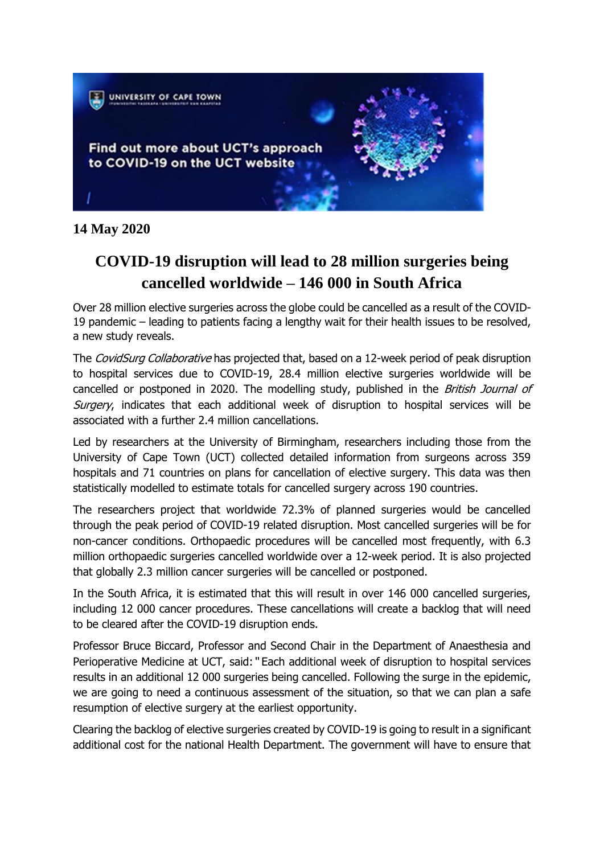

**14 May 2020**

## **COVID-19 disruption will lead to 28 million surgeries being cancelled worldwide – 146 000 in South Africa**

Over 28 million elective surgeries across the globe could be cancelled as a result of the COVID-19 pandemic – leading to patients facing a lengthy wait for their health issues to be resolved, a new study reveals.

The CovidSurg Collaborative has projected that, based on a 12-week period of peak disruption to hospital services due to COVID-19, 28.4 million elective surgeries worldwide will be cancelled or postponed in 2020. The modelling study, published in the British Journal of Surgery, indicates that each additional week of disruption to hospital services will be associated with a further 2.4 million cancellations.

Led by researchers at the University of Birmingham, researchers including those from the University of Cape Town (UCT) collected detailed information from surgeons across 359 hospitals and 71 countries on plans for cancellation of elective surgery. This data was then statistically modelled to estimate totals for cancelled surgery across 190 countries.

The researchers project that worldwide 72.3% of planned surgeries would be cancelled through the peak period of COVID-19 related disruption. Most cancelled surgeries will be for non-cancer conditions. Orthopaedic procedures will be cancelled most frequently, with 6.3 million orthopaedic surgeries cancelled worldwide over a 12-week period. It is also projected that globally 2.3 million cancer surgeries will be cancelled or postponed.

In the South Africa, it is estimated that this will result in over 146 000 cancelled surgeries, including 12 000 cancer procedures. These cancellations will create a backlog that will need to be cleared after the COVID-19 disruption ends.

Professor Bruce Biccard, Professor and Second Chair in the Department of Anaesthesia and Perioperative Medicine at UCT, said:" Each additional week of disruption to hospital services results in an additional 12 000 surgeries being cancelled. Following the surge in the epidemic, we are going to need a continuous assessment of the situation, so that we can plan a safe resumption of elective surgery at the earliest opportunity.

Clearing the backlog of elective surgeries created by COVID-19 is going to result in a significant additional cost for the national Health Department. The government will have to ensure that